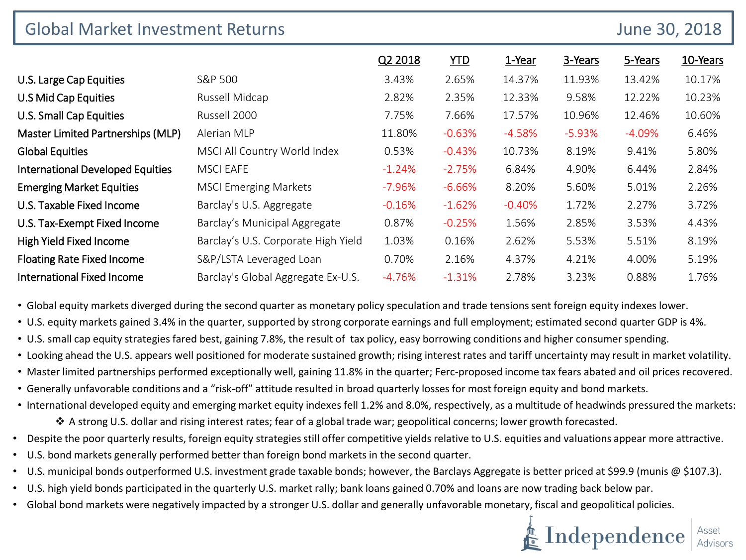| <b>Global Market Investment Returns</b> |                                     |          |            |          |          | June 30, 2018 |          |
|-----------------------------------------|-------------------------------------|----------|------------|----------|----------|---------------|----------|
|                                         |                                     | Q2 2018  | <b>YTD</b> | 1-Year   | 3-Years  | 5-Years       | 10-Years |
| U.S. Large Cap Equities                 | S&P 500                             | 3.43%    | 2.65%      | 14.37%   | 11.93%   | 13.42%        | 10.17%   |
| U.S Mid Cap Equities                    | Russell Midcap                      | 2.82%    | 2.35%      | 12.33%   | 9.58%    | 12.22%        | 10.23%   |
| U.S. Small Cap Equities                 | Russell 2000                        | 7.75%    | 7.66%      | 17.57%   | 10.96%   | 12.46%        | 10.60%   |
| Master Limited Partnerships (MLP)       | Alerian MLP                         | 11.80%   | $-0.63%$   | $-4.58%$ | $-5.93%$ | $-4.09%$      | 6.46%    |
| <b>Global Equities</b>                  | MSCI All Country World Index        | 0.53%    | $-0.43%$   | 10.73%   | 8.19%    | 9.41%         | 5.80%    |
| <b>International Developed Equities</b> | <b>MSCI EAFE</b>                    | $-1.24%$ | $-2.75%$   | 6.84%    | 4.90%    | 6.44%         | 2.84%    |
| <b>Emerging Market Equities</b>         | <b>MSCI Emerging Markets</b>        | $-7.96%$ | $-6.66%$   | 8.20%    | 5.60%    | 5.01%         | 2.26%    |
| U.S. Taxable Fixed Income               | Barclay's U.S. Aggregate            | $-0.16%$ | $-1.62%$   | $-0.40%$ | 1.72%    | 2.27%         | 3.72%    |
| U.S. Tax-Exempt Fixed Income            | Barclay's Municipal Aggregate       | 0.87%    | $-0.25%$   | 1.56%    | 2.85%    | 3.53%         | 4.43%    |
| High Yield Fixed Income                 | Barclay's U.S. Corporate High Yield | 1.03%    | 0.16%      | 2.62%    | 5.53%    | 5.51%         | 8.19%    |
| <b>Floating Rate Fixed Income</b>       | S&P/LSTA Leveraged Loan             | 0.70%    | 2.16%      | 4.37%    | 4.21%    | 4.00%         | 5.19%    |
| <b>International Fixed Income</b>       | Barclay's Global Aggregate Ex-U.S.  | $-4.76%$ | $-1.31%$   | 2.78%    | 3.23%    | 0.88%         | 1.76%    |

• Global equity markets diverged during the second quarter as monetary policy speculation and trade tensions sent foreign equity indexes lower.

• U.S. equity markets gained 3.4% in the quarter, supported by strong corporate earnings and full employment; estimated second quarter GDP is 4%.

- U.S. small cap equity strategies fared best, gaining 7.8%, the result of tax policy, easy borrowing conditions and higher consumer spending.
- Looking ahead the U.S. appears well positioned for moderate sustained growth; rising interest rates and tariff uncertainty may result in market volatility.
- Master limited partnerships performed exceptionally well, gaining 11.8% in the quarter; Ferc-proposed income tax fears abated and oil prices recovered.
- Generally unfavorable conditions and a "risk-off" attitude resulted in broad quarterly losses for most foreign equity and bond markets.
- International developed equity and emerging market equity indexes fell 1.2% and 8.0%, respectively, as a multitude of headwinds pressured the markets: A strong U.S. dollar and rising interest rates; fear of a global trade war; geopolitical concerns; lower growth forecasted.
- Despite the poor quarterly results, foreign equity strategies still offer competitive yields relative to U.S. equities and valuations appear more attractive.
- U.S. bond markets generally performed better than foreign bond markets in the second quarter.
- U.S. municipal bonds outperformed U.S. investment grade taxable bonds; however, the Barclays Aggregate is better priced at \$99.9 (munis @ \$107.3).
- U.S. high yield bonds participated in the quarterly U.S. market rally; bank loans gained 0.70% and loans are now trading back below par.
- Global bond markets were negatively impacted by a stronger U.S. dollar and generally unfavorable monetary, fiscal and geopolitical policies.